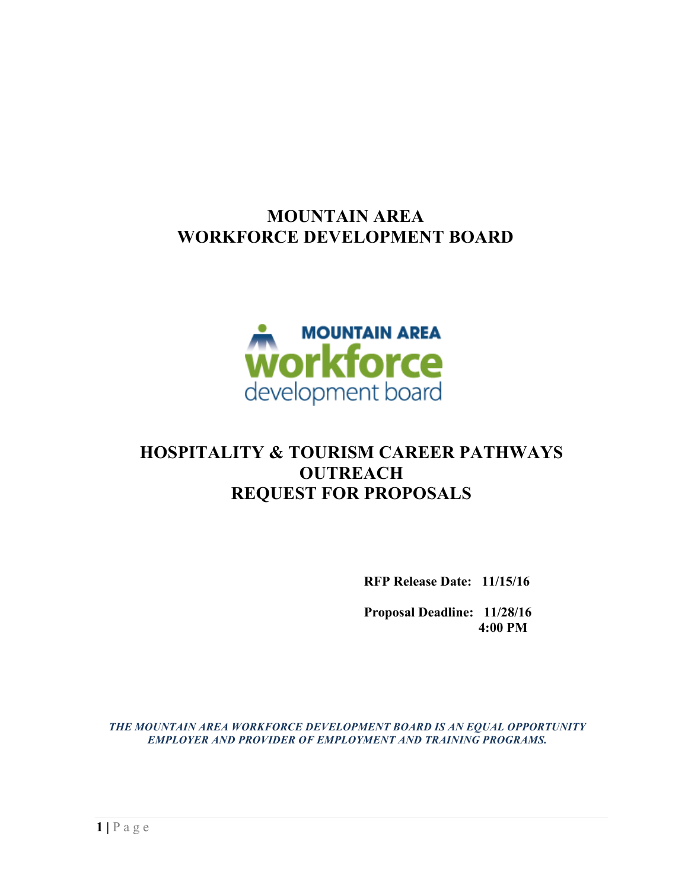# **MOUNTAIN AREA WORKFORCE DEVELOPMENT BOARD**



# **HOSPITALITY & TOURISM CAREER PATHWAYS OUTREACH REQUEST FOR PROPOSALS**

**RFP Release Date: 11/15/16**

**Proposal Deadline: 11/28/16 4:00 PM**

*THE MOUNTAIN AREA WORKFORCE DEVELOPMENT BOARD IS AN EQUAL OPPORTUNITY EMPLOYER AND PROVIDER OF EMPLOYMENT AND TRAINING PROGRAMS.*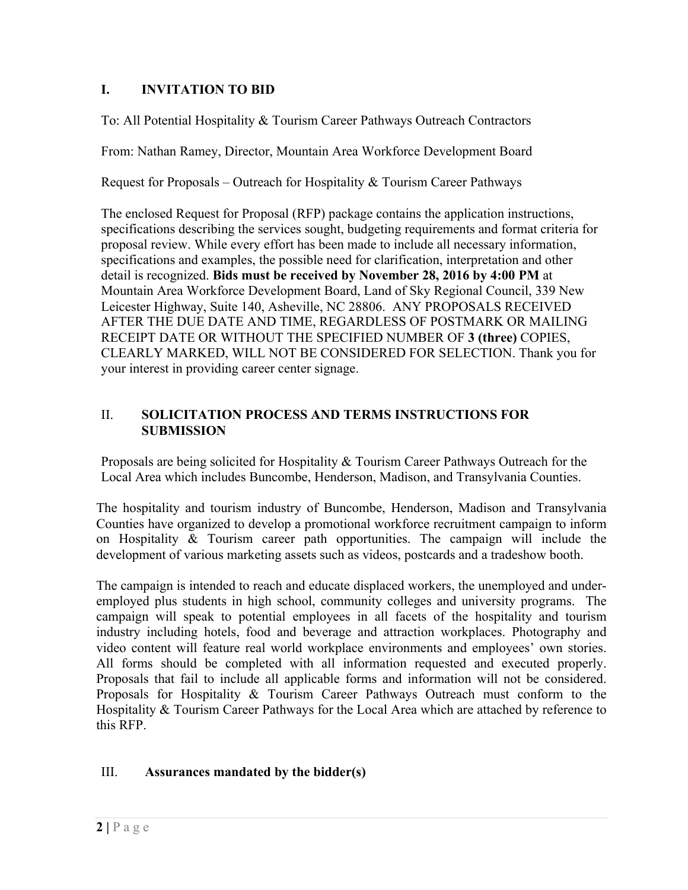## **I. INVITATION TO BID**

To: All Potential Hospitality & Tourism Career Pathways Outreach Contractors

From: Nathan Ramey, Director, Mountain Area Workforce Development Board

Request for Proposals – Outreach for Hospitality & Tourism Career Pathways

The enclosed Request for Proposal (RFP) package contains the application instructions, specifications describing the services sought, budgeting requirements and format criteria for proposal review. While every effort has been made to include all necessary information, specifications and examples, the possible need for clarification, interpretation and other detail is recognized. **Bids must be received by November 28, 2016 by 4:00 PM** at Mountain Area Workforce Development Board, Land of Sky Regional Council, 339 New Leicester Highway, Suite 140, Asheville, NC 28806. ANY PROPOSALS RECEIVED AFTER THE DUE DATE AND TIME, REGARDLESS OF POSTMARK OR MAILING RECEIPT DATE OR WITHOUT THE SPECIFIED NUMBER OF **3 (three)** COPIES, CLEARLY MARKED, WILL NOT BE CONSIDERED FOR SELECTION. Thank you for your interest in providing career center signage.

#### II. **SOLICITATION PROCESS AND TERMS INSTRUCTIONS FOR SUBMISSION**

Proposals are being solicited for Hospitality & Tourism Career Pathways Outreach for the Local Area which includes Buncombe, Henderson, Madison, and Transylvania Counties.

The hospitality and tourism industry of Buncombe, Henderson, Madison and Transylvania Counties have organized to develop a promotional workforce recruitment campaign to inform on Hospitality & Tourism career path opportunities. The campaign will include the development of various marketing assets such as videos, postcards and a tradeshow booth.

The campaign is intended to reach and educate displaced workers, the unemployed and underemployed plus students in high school, community colleges and university programs. The campaign will speak to potential employees in all facets of the hospitality and tourism industry including hotels, food and beverage and attraction workplaces. Photography and video content will feature real world workplace environments and employees' own stories. All forms should be completed with all information requested and executed properly. Proposals that fail to include all applicable forms and information will not be considered. Proposals for Hospitality & Tourism Career Pathways Outreach must conform to the Hospitality & Tourism Career Pathways for the Local Area which are attached by reference to this RFP.

### III. **Assurances mandated by the bidder(s)**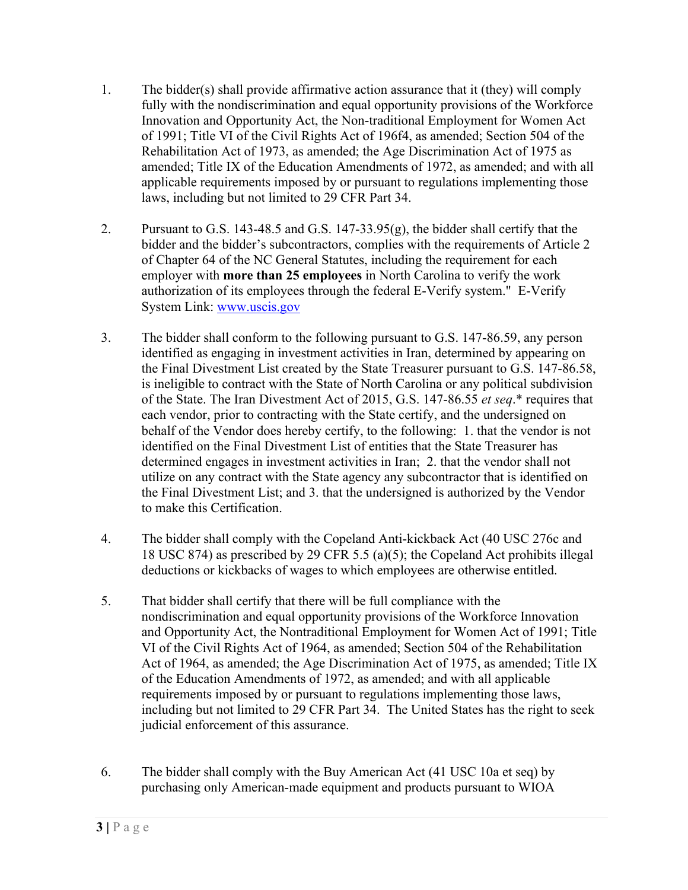- 1. The bidder(s) shall provide affirmative action assurance that it (they) will comply fully with the nondiscrimination and equal opportunity provisions of the Workforce Innovation and Opportunity Act, the Non-traditional Employment for Women Act of 1991; Title VI of the Civil Rights Act of 196f4, as amended; Section 504 of the Rehabilitation Act of 1973, as amended; the Age Discrimination Act of 1975 as amended; Title IX of the Education Amendments of 1972, as amended; and with all applicable requirements imposed by or pursuant to regulations implementing those laws, including but not limited to 29 CFR Part 34.
- 2. Pursuant to G.S. 143-48.5 and G.S. 147-33.95(g), the bidder shall certify that the bidder and the bidder's subcontractors, complies with the requirements of Article 2 of Chapter 64 of the NC General Statutes, including the requirement for each employer with **more than 25 employees** in North Carolina to verify the work authorization of its employees through the federal E-Verify system." E-Verify System Link: www.uscis.gov
- 3. The bidder shall conform to the following pursuant to G.S. 147-86.59, any person identified as engaging in investment activities in Iran, determined by appearing on the Final Divestment List created by the State Treasurer pursuant to G.S. 147-86.58, is ineligible to contract with the State of North Carolina or any political subdivision of the State. The Iran Divestment Act of 2015, G.S. 147-86.55 *et seq*.\* requires that each vendor, prior to contracting with the State certify, and the undersigned on behalf of the Vendor does hereby certify, to the following: 1. that the vendor is not identified on the Final Divestment List of entities that the State Treasurer has determined engages in investment activities in Iran; 2. that the vendor shall not utilize on any contract with the State agency any subcontractor that is identified on the Final Divestment List; and 3. that the undersigned is authorized by the Vendor to make this Certification.
- 4. The bidder shall comply with the Copeland Anti-kickback Act (40 USC 276c and 18 USC 874) as prescribed by 29 CFR 5.5 (a)(5); the Copeland Act prohibits illegal deductions or kickbacks of wages to which employees are otherwise entitled.
- 5. That bidder shall certify that there will be full compliance with the nondiscrimination and equal opportunity provisions of the Workforce Innovation and Opportunity Act, the Nontraditional Employment for Women Act of 1991; Title VI of the Civil Rights Act of 1964, as amended; Section 504 of the Rehabilitation Act of 1964, as amended; the Age Discrimination Act of 1975, as amended; Title IX of the Education Amendments of 1972, as amended; and with all applicable requirements imposed by or pursuant to regulations implementing those laws, including but not limited to 29 CFR Part 34. The United States has the right to seek judicial enforcement of this assurance.
- 6. The bidder shall comply with the Buy American Act (41 USC 10a et seq) by purchasing only American-made equipment and products pursuant to WIOA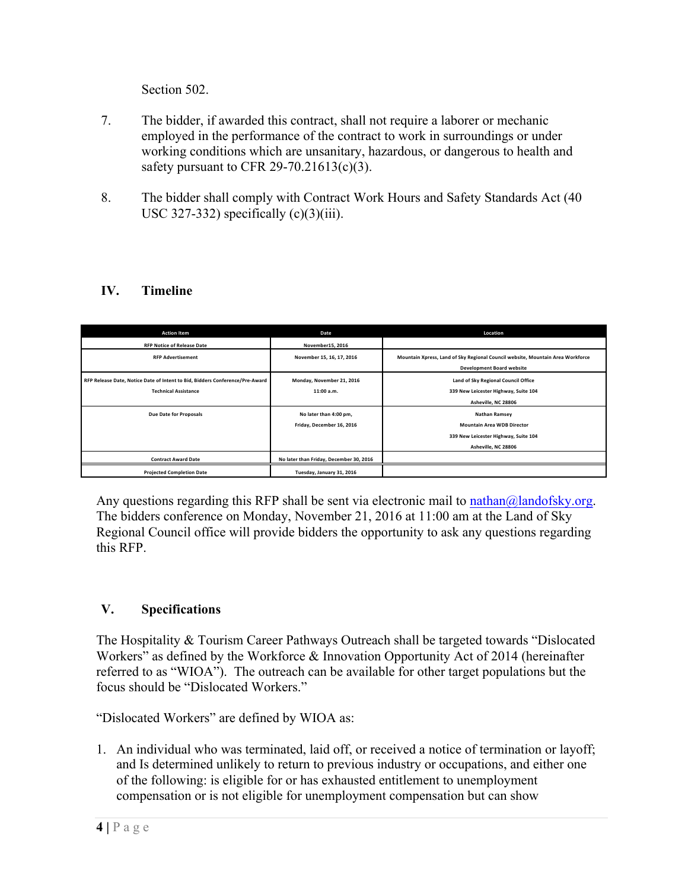Section 502.

- 7. The bidder, if awarded this contract, shall not require a laborer or mechanic employed in the performance of the contract to work in surroundings or under working conditions which are unsanitary, hazardous, or dangerous to health and safety pursuant to CFR 29-70.21613(c)(3).
- 8. The bidder shall comply with Contract Work Hours and Safety Standards Act (40 USC 327-332) specifically  $(c)(3)(iii)$ .

## **IV. Timeline**

| <b>Action Item</b>                                                           | Date                                    | Location                                                                       |
|------------------------------------------------------------------------------|-----------------------------------------|--------------------------------------------------------------------------------|
| <b>RFP Notice of Release Date</b>                                            | November15, 2016                        |                                                                                |
| <b>RFP Advertisement</b>                                                     | November 15, 16, 17, 2016               | Mountain Xpress, Land of Sky Regional Council website, Mountain Area Workforce |
|                                                                              |                                         | <b>Development Board website</b>                                               |
| RFP Release Date, Notice Date of Intent to Bid, Bidders Conference/Pre-Award | Monday, November 21, 2016               | Land of Sky Regional Council Office                                            |
| <b>Technical Assistance</b>                                                  | 11:00 a.m.                              | 339 New Leicester Highway, Suite 104                                           |
|                                                                              |                                         | Asheville, NC 28806                                                            |
| <b>Due Date for Proposals</b>                                                | No later than 4:00 pm,                  | <b>Nathan Ramsey</b>                                                           |
|                                                                              | Friday, December 16, 2016               | <b>Mountain Area WDB Director</b>                                              |
|                                                                              |                                         | 339 New Leicester Highway, Suite 104                                           |
|                                                                              |                                         | Asheville, NC 28806                                                            |
| <b>Contract Award Date</b>                                                   | No later than Friday, December 30, 2016 |                                                                                |
| <b>Projected Completion Date</b>                                             | Tuesday, January 31, 2016               |                                                                                |

Any questions regarding this RFP shall be sent via electronic mail to nathan $\omega$ landofsky.org. The bidders conference on Monday, November 21, 2016 at 11:00 am at the Land of Sky Regional Council office will provide bidders the opportunity to ask any questions regarding this RFP.

### **V. Specifications**

The Hospitality & Tourism Career Pathways Outreach shall be targeted towards "Dislocated Workers" as defined by the Workforce & Innovation Opportunity Act of 2014 (hereinafter referred to as "WIOA"). The outreach can be available for other target populations but the focus should be "Dislocated Workers."

"Dislocated Workers" are defined by WIOA as:

1. An individual who was terminated, laid off, or received a notice of termination or layoff; and Is determined unlikely to return to previous industry or occupations, and either one of the following: is eligible for or has exhausted entitlement to unemployment compensation or is not eligible for unemployment compensation but can show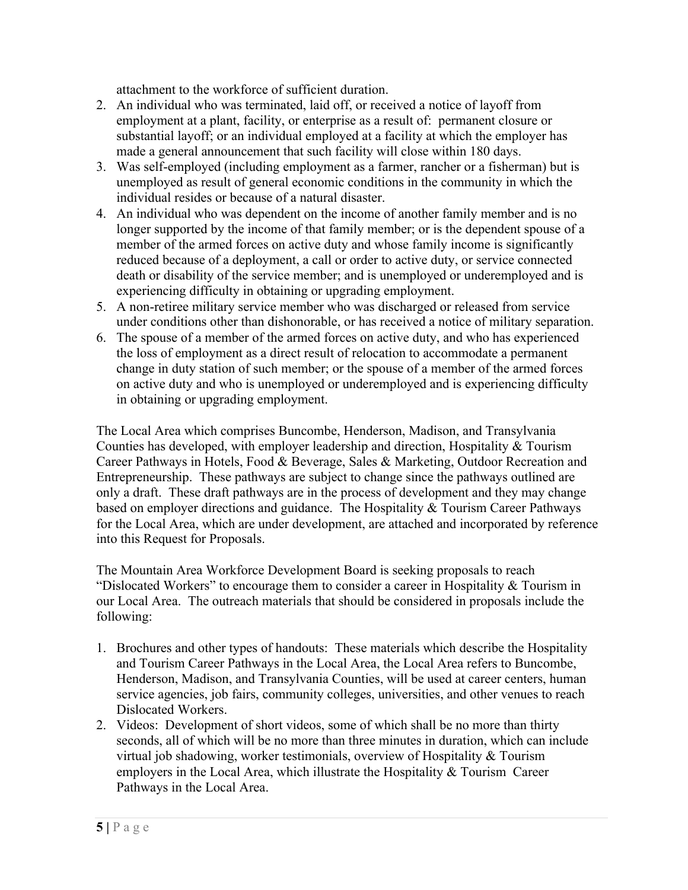attachment to the workforce of sufficient duration.

- 2. An individual who was terminated, laid off, or received a notice of layoff from employment at a plant, facility, or enterprise as a result of: permanent closure or substantial layoff; or an individual employed at a facility at which the employer has made a general announcement that such facility will close within 180 days.
- 3. Was self-employed (including employment as a farmer, rancher or a fisherman) but is unemployed as result of general economic conditions in the community in which the individual resides or because of a natural disaster.
- 4. An individual who was dependent on the income of another family member and is no longer supported by the income of that family member; or is the dependent spouse of a member of the armed forces on active duty and whose family income is significantly reduced because of a deployment, a call or order to active duty, or service connected death or disability of the service member; and is unemployed or underemployed and is experiencing difficulty in obtaining or upgrading employment.
- 5. A non-retiree military service member who was discharged or released from service under conditions other than dishonorable, or has received a notice of military separation.
- 6. The spouse of a member of the armed forces on active duty, and who has experienced the loss of employment as a direct result of relocation to accommodate a permanent change in duty station of such member; or the spouse of a member of the armed forces on active duty and who is unemployed or underemployed and is experiencing difficulty in obtaining or upgrading employment.

The Local Area which comprises Buncombe, Henderson, Madison, and Transylvania Counties has developed, with employer leadership and direction, Hospitality & Tourism Career Pathways in Hotels, Food & Beverage, Sales & Marketing, Outdoor Recreation and Entrepreneurship. These pathways are subject to change since the pathways outlined are only a draft. These draft pathways are in the process of development and they may change based on employer directions and guidance. The Hospitality & Tourism Career Pathways for the Local Area, which are under development, are attached and incorporated by reference into this Request for Proposals.

The Mountain Area Workforce Development Board is seeking proposals to reach "Dislocated Workers" to encourage them to consider a career in Hospitality  $&$  Tourism in our Local Area. The outreach materials that should be considered in proposals include the following:

- 1. Brochures and other types of handouts: These materials which describe the Hospitality and Tourism Career Pathways in the Local Area, the Local Area refers to Buncombe, Henderson, Madison, and Transylvania Counties, will be used at career centers, human service agencies, job fairs, community colleges, universities, and other venues to reach Dislocated Workers.
- 2. Videos: Development of short videos, some of which shall be no more than thirty seconds, all of which will be no more than three minutes in duration, which can include virtual job shadowing, worker testimonials, overview of Hospitality & Tourism employers in the Local Area, which illustrate the Hospitality & Tourism Career Pathways in the Local Area.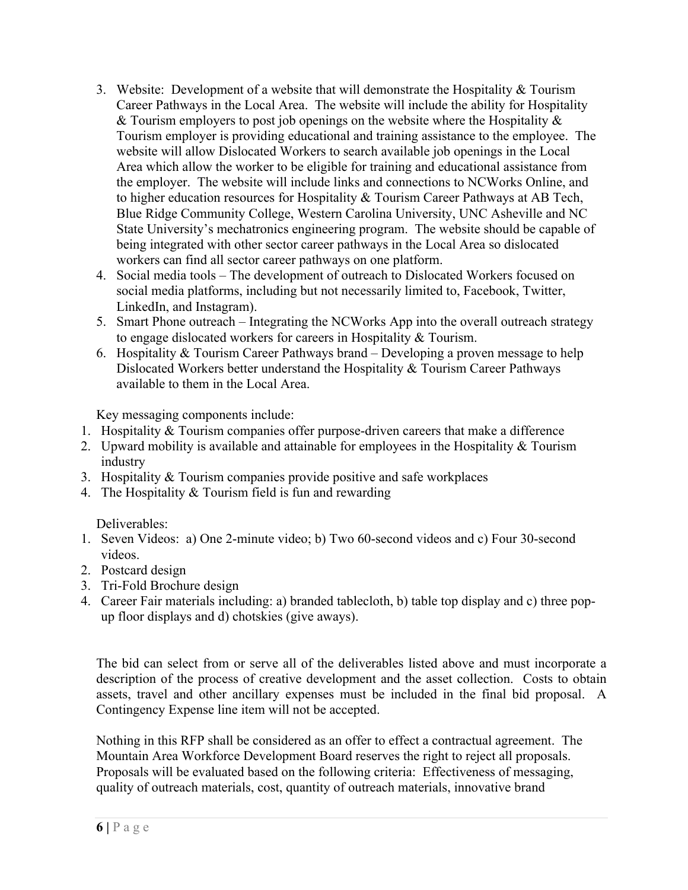- 3. Website: Development of a website that will demonstrate the Hospitality & Tourism Career Pathways in the Local Area. The website will include the ability for Hospitality & Tourism employers to post job openings on the website where the Hospitality  $\&$ Tourism employer is providing educational and training assistance to the employee. The website will allow Dislocated Workers to search available job openings in the Local Area which allow the worker to be eligible for training and educational assistance from the employer. The website will include links and connections to NCWorks Online, and to higher education resources for Hospitality & Tourism Career Pathways at AB Tech, Blue Ridge Community College, Western Carolina University, UNC Asheville and NC State University's mechatronics engineering program. The website should be capable of being integrated with other sector career pathways in the Local Area so dislocated workers can find all sector career pathways on one platform.
- 4. Social media tools The development of outreach to Dislocated Workers focused on social media platforms, including but not necessarily limited to, Facebook, Twitter, LinkedIn, and Instagram).
- 5. Smart Phone outreach Integrating the NCWorks App into the overall outreach strategy to engage dislocated workers for careers in Hospitality & Tourism.
- 6. Hospitality & Tourism Career Pathways brand Developing a proven message to help Dislocated Workers better understand the Hospitality & Tourism Career Pathways available to them in the Local Area.

Key messaging components include:

- 1. Hospitality & Tourism companies offer purpose-driven careers that make a difference
- 2. Upward mobility is available and attainable for employees in the Hospitality & Tourism industry
- 3. Hospitality & Tourism companies provide positive and safe workplaces
- 4. The Hospitality & Tourism field is fun and rewarding

Deliverables:

- 1. Seven Videos: a) One 2-minute video; b) Two 60-second videos and c) Four 30-second videos.
- 2. Postcard design
- 3. Tri-Fold Brochure design
- 4. Career Fair materials including: a) branded tablecloth, b) table top display and c) three popup floor displays and d) chotskies (give aways).

The bid can select from or serve all of the deliverables listed above and must incorporate a description of the process of creative development and the asset collection. Costs to obtain assets, travel and other ancillary expenses must be included in the final bid proposal. A Contingency Expense line item will not be accepted.

Nothing in this RFP shall be considered as an offer to effect a contractual agreement. The Mountain Area Workforce Development Board reserves the right to reject all proposals. Proposals will be evaluated based on the following criteria: Effectiveness of messaging, quality of outreach materials, cost, quantity of outreach materials, innovative brand